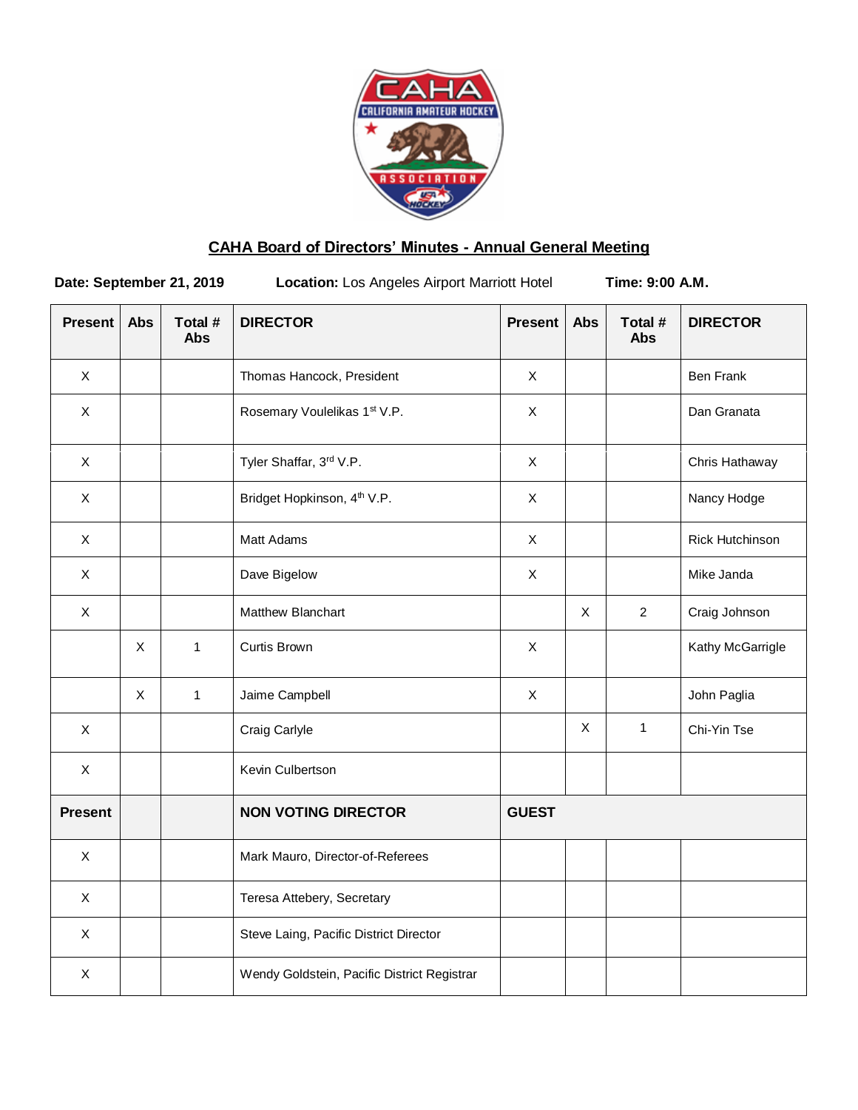

# **CAHA Board of Directors' Minutes - Annual General Meeting**

**Date: September 21, 2019** Location: Los Angeles Airport Marriott Hotel **Time: 9:00 A.M.** 

| <b>Present</b>            | <b>Abs</b> | Total #<br><b>Abs</b> | <b>DIRECTOR</b>                             | <b>Present</b> | <b>Abs</b>  | Total #<br><b>Abs</b> | <b>DIRECTOR</b>  |
|---------------------------|------------|-----------------------|---------------------------------------------|----------------|-------------|-----------------------|------------------|
| $\mathsf{X}$              |            |                       | Thomas Hancock, President                   | $\mathsf{X}$   |             |                       | <b>Ben Frank</b> |
| $\mathsf{X}$              |            |                       | Rosemary Voulelikas 1st V.P.                | $\mathsf{X}$   |             |                       | Dan Granata      |
| $\pmb{\times}$            |            |                       | Tyler Shaffar, 3rd V.P.                     | $\pmb{\times}$ |             |                       | Chris Hathaway   |
| $\mathsf X$               |            |                       | Bridget Hopkinson, 4 <sup>th</sup> V.P.     | $\mathsf X$    |             |                       | Nancy Hodge      |
| $\mathsf{X}$              |            |                       | Matt Adams                                  | $\pmb{\times}$ |             |                       | Rick Hutchinson  |
| $\boldsymbol{\mathsf{X}}$ |            |                       | Dave Bigelow                                | $\mathsf X$    |             |                       | Mike Janda       |
| $\mathsf{X}$              |            |                       | Matthew Blanchart                           |                | $\sf X$     | 2                     | Craig Johnson    |
|                           | X          | $\mathbf{1}$          | Curtis Brown                                | $\mathsf{X}$   |             |                       | Kathy McGarrigle |
|                           | X          | $\mathbf{1}$          | Jaime Campbell                              | $\mathsf X$    |             |                       | John Paglia      |
| $\mathsf X$               |            |                       | Craig Carlyle                               |                | $\mathsf X$ | $\mathbf{1}$          | Chi-Yin Tse      |
| $\mathsf{X}$              |            |                       | Kevin Culbertson                            |                |             |                       |                  |
| <b>Present</b>            |            |                       | <b>NON VOTING DIRECTOR</b>                  | <b>GUEST</b>   |             |                       |                  |
| $\mathsf{X}$              |            |                       | Mark Mauro, Director-of-Referees            |                |             |                       |                  |
| $\mathsf{X}$              |            |                       | Teresa Attebery, Secretary                  |                |             |                       |                  |
| $\mathsf{X}$              |            |                       | Steve Laing, Pacific District Director      |                |             |                       |                  |
| X                         |            |                       | Wendy Goldstein, Pacific District Registrar |                |             |                       |                  |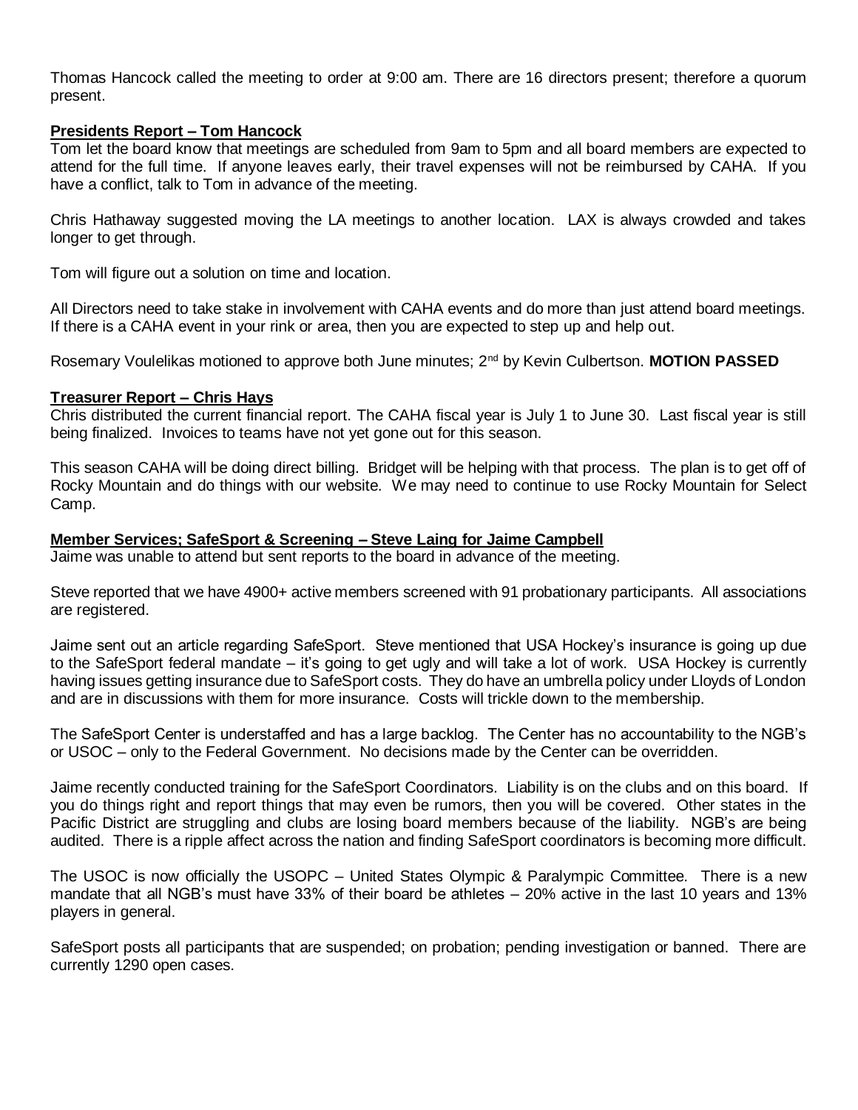Thomas Hancock called the meeting to order at 9:00 am. There are 16 directors present; therefore a quorum present.

# **Presidents Report – Tom Hancock**

Tom let the board know that meetings are scheduled from 9am to 5pm and all board members are expected to attend for the full time. If anyone leaves early, their travel expenses will not be reimbursed by CAHA. If you have a conflict, talk to Tom in advance of the meeting.

Chris Hathaway suggested moving the LA meetings to another location. LAX is always crowded and takes longer to get through.

Tom will figure out a solution on time and location.

All Directors need to take stake in involvement with CAHA events and do more than just attend board meetings. If there is a CAHA event in your rink or area, then you are expected to step up and help out.

Rosemary Voulelikas motioned to approve both June minutes; 2nd by Kevin Culbertson. **MOTION PASSED**

#### **Treasurer Report – Chris Hays**

Chris distributed the current financial report. The CAHA fiscal year is July 1 to June 30. Last fiscal year is still being finalized. Invoices to teams have not yet gone out for this season.

This season CAHA will be doing direct billing. Bridget will be helping with that process. The plan is to get off of Rocky Mountain and do things with our website. We may need to continue to use Rocky Mountain for Select Camp.

# **Member Services; SafeSport & Screening – Steve Laing for Jaime Campbell**

Jaime was unable to attend but sent reports to the board in advance of the meeting.

Steve reported that we have 4900+ active members screened with 91 probationary participants. All associations are registered.

Jaime sent out an article regarding SafeSport. Steve mentioned that USA Hockey's insurance is going up due to the SafeSport federal mandate – it's going to get ugly and will take a lot of work. USA Hockey is currently having issues getting insurance due to SafeSport costs. They do have an umbrella policy under Lloyds of London and are in discussions with them for more insurance. Costs will trickle down to the membership.

The SafeSport Center is understaffed and has a large backlog. The Center has no accountability to the NGB's or USOC – only to the Federal Government. No decisions made by the Center can be overridden.

Jaime recently conducted training for the SafeSport Coordinators. Liability is on the clubs and on this board. If you do things right and report things that may even be rumors, then you will be covered. Other states in the Pacific District are struggling and clubs are losing board members because of the liability. NGB's are being audited. There is a ripple affect across the nation and finding SafeSport coordinators is becoming more difficult.

The USOC is now officially the USOPC – United States Olympic & Paralympic Committee. There is a new mandate that all NGB's must have 33% of their board be athletes – 20% active in the last 10 years and 13% players in general.

SafeSport posts all participants that are suspended; on probation; pending investigation or banned. There are currently 1290 open cases.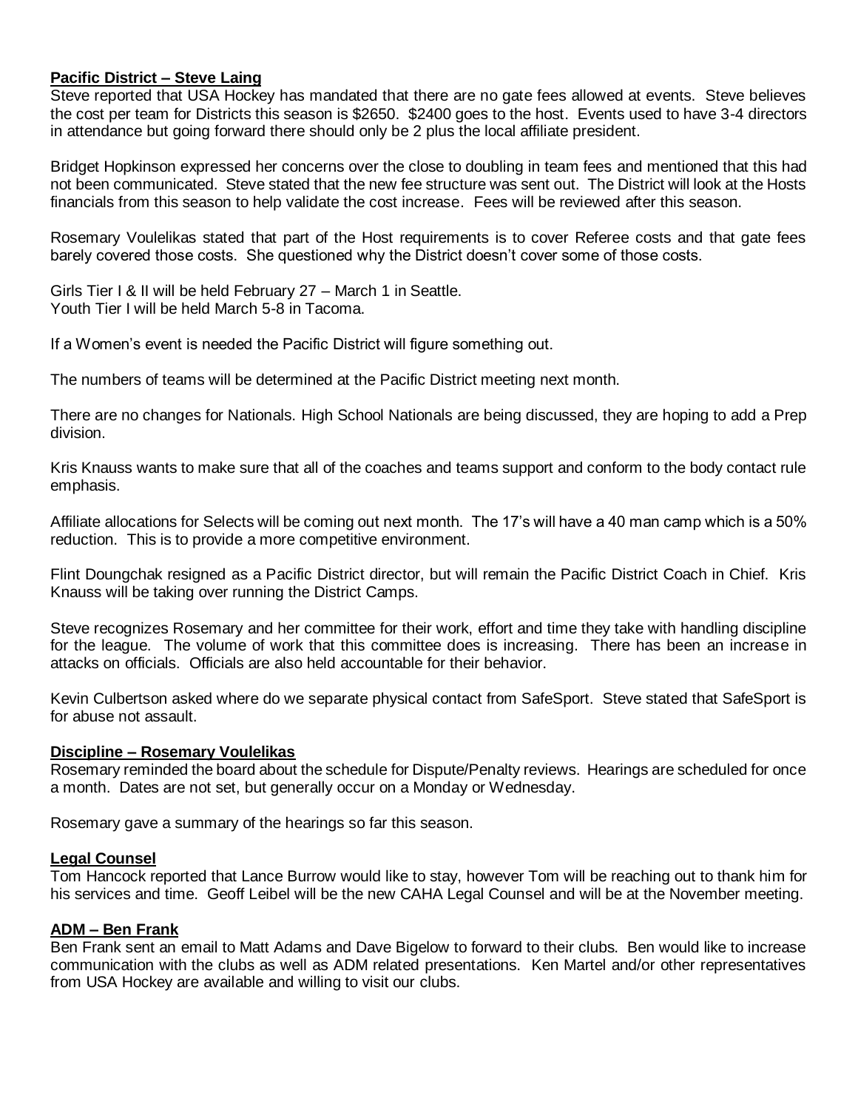# **Pacific District – Steve Laing**

Steve reported that USA Hockey has mandated that there are no gate fees allowed at events. Steve believes the cost per team for Districts this season is \$2650. \$2400 goes to the host. Events used to have 3-4 directors in attendance but going forward there should only be 2 plus the local affiliate president.

Bridget Hopkinson expressed her concerns over the close to doubling in team fees and mentioned that this had not been communicated. Steve stated that the new fee structure was sent out. The District will look at the Hosts financials from this season to help validate the cost increase. Fees will be reviewed after this season.

Rosemary Voulelikas stated that part of the Host requirements is to cover Referee costs and that gate fees barely covered those costs. She questioned why the District doesn't cover some of those costs.

Girls Tier I & II will be held February 27 – March 1 in Seattle. Youth Tier I will be held March 5-8 in Tacoma.

If a Women's event is needed the Pacific District will figure something out.

The numbers of teams will be determined at the Pacific District meeting next month.

There are no changes for Nationals. High School Nationals are being discussed, they are hoping to add a Prep division.

Kris Knauss wants to make sure that all of the coaches and teams support and conform to the body contact rule emphasis.

Affiliate allocations for Selects will be coming out next month. The 17's will have a 40 man camp which is a 50% reduction. This is to provide a more competitive environment.

Flint Doungchak resigned as a Pacific District director, but will remain the Pacific District Coach in Chief. Kris Knauss will be taking over running the District Camps.

Steve recognizes Rosemary and her committee for their work, effort and time they take with handling discipline for the league. The volume of work that this committee does is increasing. There has been an increase in attacks on officials. Officials are also held accountable for their behavior.

Kevin Culbertson asked where do we separate physical contact from SafeSport. Steve stated that SafeSport is for abuse not assault.

#### **Discipline – Rosemary Voulelikas**

Rosemary reminded the board about the schedule for Dispute/Penalty reviews. Hearings are scheduled for once a month. Dates are not set, but generally occur on a Monday or Wednesday.

Rosemary gave a summary of the hearings so far this season.

## **Legal Counsel**

Tom Hancock reported that Lance Burrow would like to stay, however Tom will be reaching out to thank him for his services and time. Geoff Leibel will be the new CAHA Legal Counsel and will be at the November meeting.

#### **ADM – Ben Frank**

Ben Frank sent an email to Matt Adams and Dave Bigelow to forward to their clubs. Ben would like to increase communication with the clubs as well as ADM related presentations. Ken Martel and/or other representatives from USA Hockey are available and willing to visit our clubs.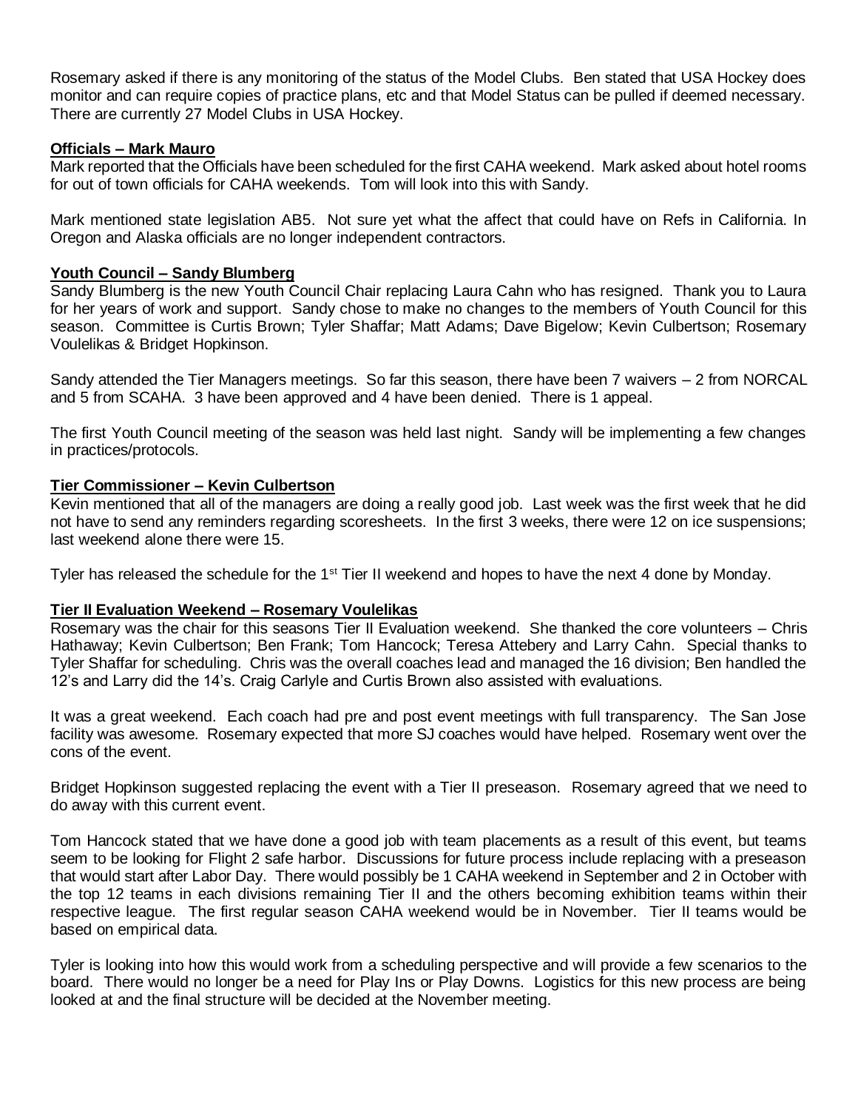Rosemary asked if there is any monitoring of the status of the Model Clubs. Ben stated that USA Hockey does monitor and can require copies of practice plans, etc and that Model Status can be pulled if deemed necessary. There are currently 27 Model Clubs in USA Hockey.

# **Officials – Mark Mauro**

Mark reported that the Officials have been scheduled for the first CAHA weekend. Mark asked about hotel rooms for out of town officials for CAHA weekends. Tom will look into this with Sandy.

Mark mentioned state legislation AB5. Not sure yet what the affect that could have on Refs in California. In Oregon and Alaska officials are no longer independent contractors.

#### **Youth Council – Sandy Blumberg**

Sandy Blumberg is the new Youth Council Chair replacing Laura Cahn who has resigned. Thank you to Laura for her years of work and support. Sandy chose to make no changes to the members of Youth Council for this season. Committee is Curtis Brown; Tyler Shaffar; Matt Adams; Dave Bigelow; Kevin Culbertson; Rosemary Voulelikas & Bridget Hopkinson.

Sandy attended the Tier Managers meetings. So far this season, there have been 7 waivers – 2 from NORCAL and 5 from SCAHA. 3 have been approved and 4 have been denied. There is 1 appeal.

The first Youth Council meeting of the season was held last night. Sandy will be implementing a few changes in practices/protocols.

## **Tier Commissioner – Kevin Culbertson**

Kevin mentioned that all of the managers are doing a really good job. Last week was the first week that he did not have to send any reminders regarding scoresheets. In the first 3 weeks, there were 12 on ice suspensions; last weekend alone there were 15.

Tyler has released the schedule for the 1<sup>st</sup> Tier II weekend and hopes to have the next 4 done by Monday.

# **Tier II Evaluation Weekend – Rosemary Voulelikas**

Rosemary was the chair for this seasons Tier II Evaluation weekend. She thanked the core volunteers – Chris Hathaway; Kevin Culbertson; Ben Frank; Tom Hancock; Teresa Attebery and Larry Cahn. Special thanks to Tyler Shaffar for scheduling. Chris was the overall coaches lead and managed the 16 division; Ben handled the 12's and Larry did the 14's. Craig Carlyle and Curtis Brown also assisted with evaluations.

It was a great weekend. Each coach had pre and post event meetings with full transparency. The San Jose facility was awesome. Rosemary expected that more SJ coaches would have helped. Rosemary went over the cons of the event.

Bridget Hopkinson suggested replacing the event with a Tier II preseason. Rosemary agreed that we need to do away with this current event.

Tom Hancock stated that we have done a good job with team placements as a result of this event, but teams seem to be looking for Flight 2 safe harbor. Discussions for future process include replacing with a preseason that would start after Labor Day. There would possibly be 1 CAHA weekend in September and 2 in October with the top 12 teams in each divisions remaining Tier II and the others becoming exhibition teams within their respective league. The first regular season CAHA weekend would be in November. Tier II teams would be based on empirical data.

Tyler is looking into how this would work from a scheduling perspective and will provide a few scenarios to the board. There would no longer be a need for Play Ins or Play Downs. Logistics for this new process are being looked at and the final structure will be decided at the November meeting.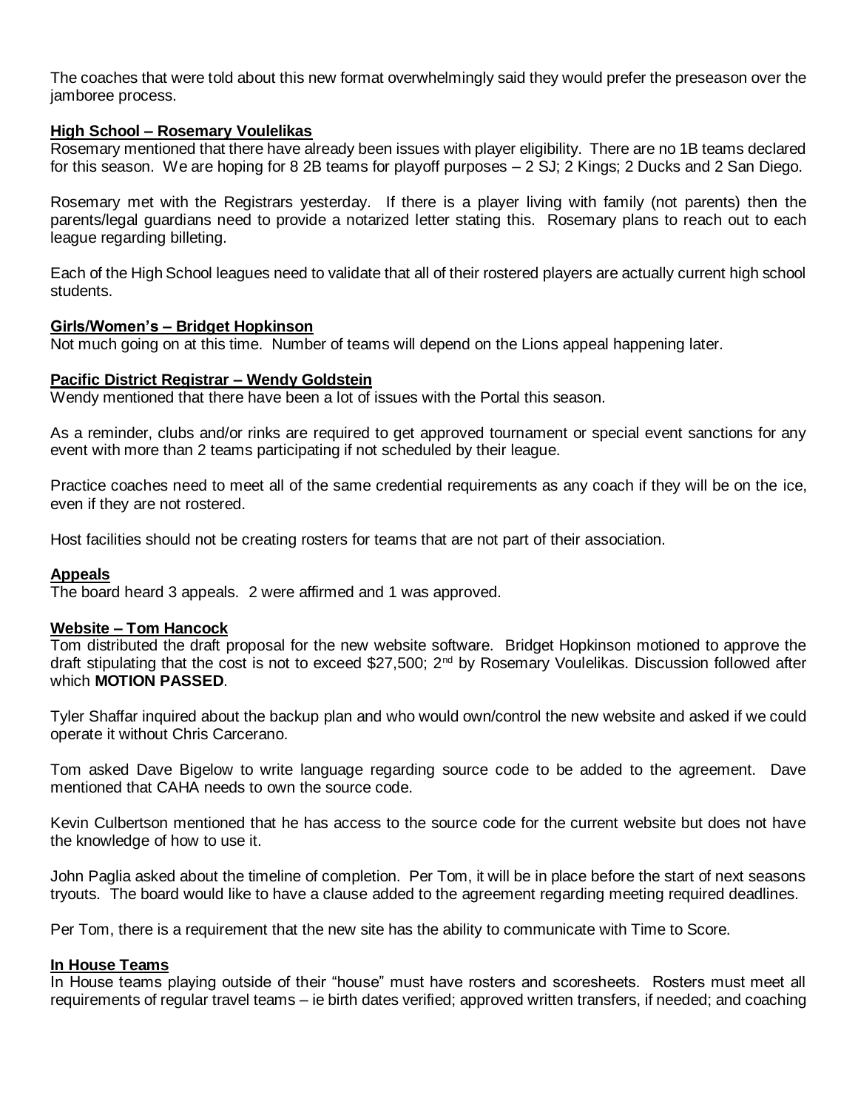The coaches that were told about this new format overwhelmingly said they would prefer the preseason over the jamboree process.

## **High School – Rosemary Voulelikas**

Rosemary mentioned that there have already been issues with player eligibility. There are no 1B teams declared for this season. We are hoping for 8 2B teams for playoff purposes – 2 SJ; 2 Kings; 2 Ducks and 2 San Diego.

Rosemary met with the Registrars yesterday. If there is a player living with family (not parents) then the parents/legal guardians need to provide a notarized letter stating this. Rosemary plans to reach out to each league regarding billeting.

Each of the High School leagues need to validate that all of their rostered players are actually current high school students.

#### **Girls/Women's – Bridget Hopkinson**

Not much going on at this time. Number of teams will depend on the Lions appeal happening later.

#### **Pacific District Registrar – Wendy Goldstein**

Wendy mentioned that there have been a lot of issues with the Portal this season.

As a reminder, clubs and/or rinks are required to get approved tournament or special event sanctions for any event with more than 2 teams participating if not scheduled by their league.

Practice coaches need to meet all of the same credential requirements as any coach if they will be on the ice, even if they are not rostered.

Host facilities should not be creating rosters for teams that are not part of their association.

#### **Appeals**

The board heard 3 appeals. 2 were affirmed and 1 was approved.

#### **Website – Tom Hancock**

Tom distributed the draft proposal for the new website software. Bridget Hopkinson motioned to approve the draft stipulating that the cost is not to exceed \$27,500; 2<sup>nd</sup> by Rosemary Voulelikas. Discussion followed after which **MOTION PASSED**.

Tyler Shaffar inquired about the backup plan and who would own/control the new website and asked if we could operate it without Chris Carcerano.

Tom asked Dave Bigelow to write language regarding source code to be added to the agreement. Dave mentioned that CAHA needs to own the source code.

Kevin Culbertson mentioned that he has access to the source code for the current website but does not have the knowledge of how to use it.

John Paglia asked about the timeline of completion. Per Tom, it will be in place before the start of next seasons tryouts. The board would like to have a clause added to the agreement regarding meeting required deadlines.

Per Tom, there is a requirement that the new site has the ability to communicate with Time to Score.

#### **In House Teams**

In House teams playing outside of their "house" must have rosters and scoresheets. Rosters must meet all requirements of regular travel teams – ie birth dates verified; approved written transfers, if needed; and coaching